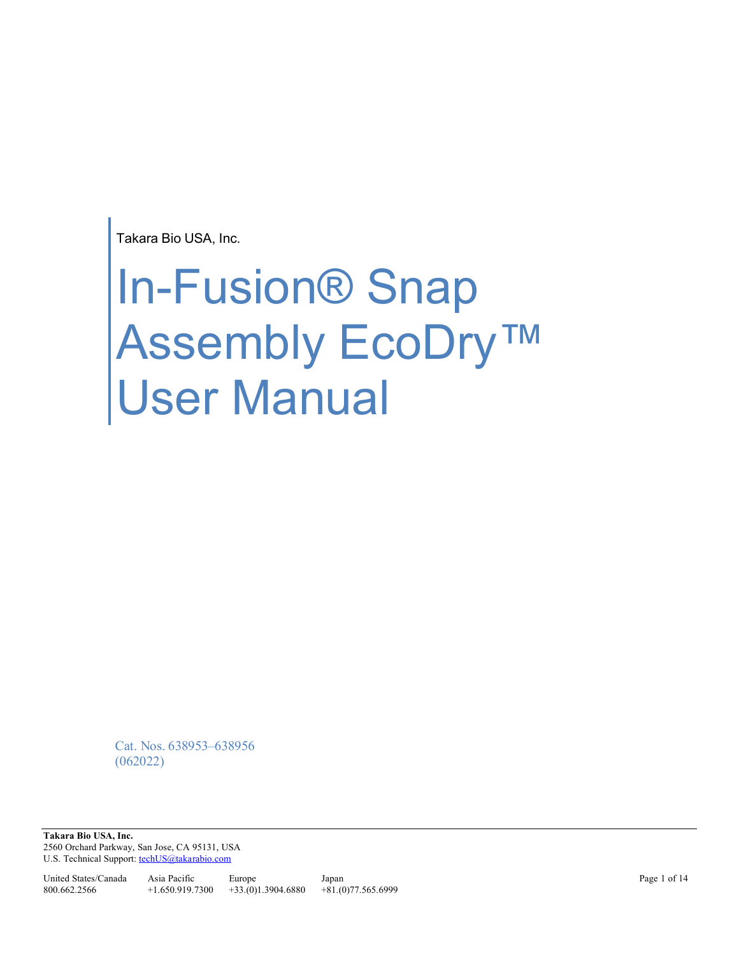Takara Bio USA, Inc.

# In-Fusion® Snap Assembly EcoDry™ User Manual

Cat. Nos. 638953–638956 (062022)

**Takara Bio USA, Inc.**  2560 Orchard Parkway, San Jose, CA 95131, USA U.S. Technical Support[: techUS@takarabio.com](mailto:techUS@takarabio.com)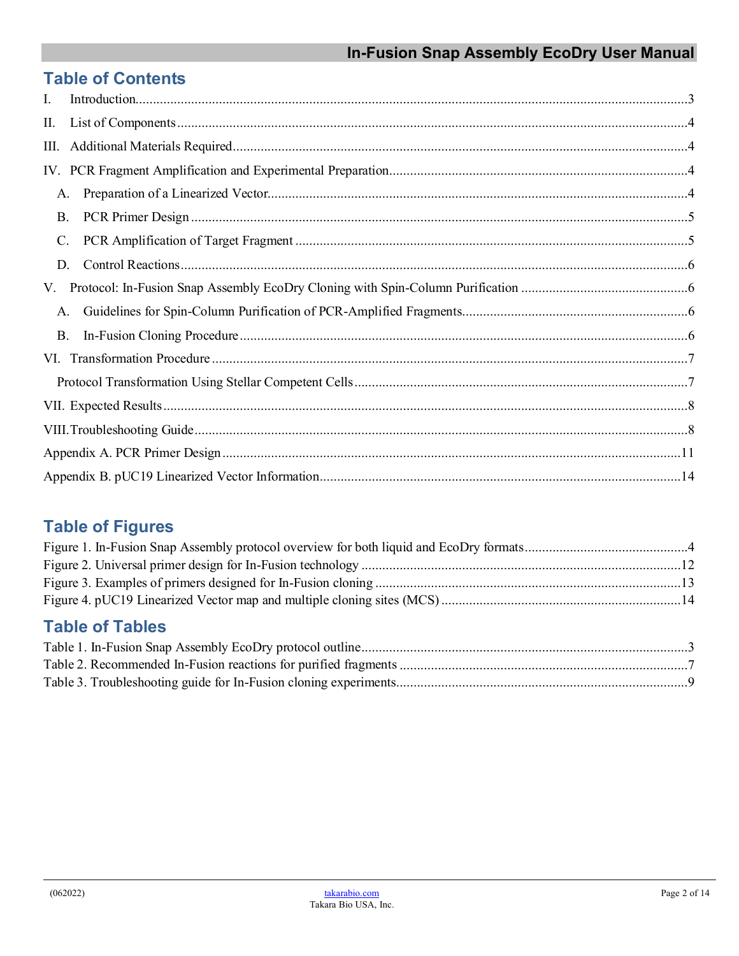# **Table of Contents**

| I.             |  |
|----------------|--|
| П.             |  |
| Ш.             |  |
|                |  |
| A.             |  |
| <b>B.</b>      |  |
| $\mathbf{C}$ . |  |
| D.             |  |
| V.             |  |
| A.             |  |
| Β.             |  |
|                |  |
|                |  |
|                |  |
|                |  |
|                |  |
|                |  |

# **Table of Figures**

# **Table of Tables**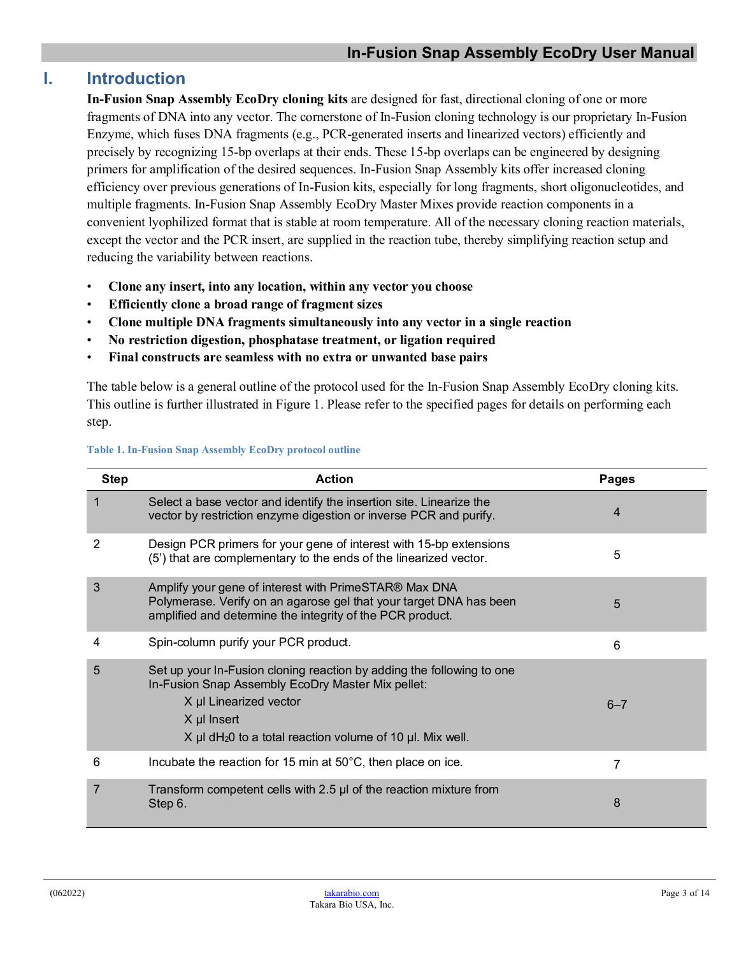## <span id="page-2-0"></span>**I. Introduction**

**In-Fusion Snap Assembly EcoDry cloning kits** are designed for fast, directional cloning of one or more fragments of DNA into any vector. The cornerstone of In-Fusion cloning technology is our proprietary In-Fusion Enzyme, which fuses DNA fragments (e.g., PCR-generated inserts and linearized vectors) efficiently and precisely by recognizing 15-bp overlaps at their ends. These 15-bp overlaps can be engineered by designing primers for amplification of the desired sequences. In-Fusion Snap Assembly kits offer increased cloning efficiency over previous generations of In-Fusion kits, especially for long fragments, short oligonucleotides, and multiple fragments. In-Fusion Snap Assembly EcoDry Master Mixes provide reaction components in a convenient lyophilized format that is stable at room temperature. All of the necessary cloning reaction materials, except the vector and the PCR insert, are supplied in the reaction tube, thereby simplifying reaction setup and reducing the variability between reactions.

- **Clone any insert, into any location, within any vector you choose**
- **Efficiently clone a broad range of fragment sizes**
- **Clone multiple DNA fragments simultaneously into any vector in a single reaction**
- **No restriction digestion, phosphatase treatment, or ligation required**
- **Final constructs are seamless with no extra or unwanted base pairs**

The table below is a general outline of the protocol used for the In-Fusion Snap Assembly EcoDry cloning kits. This outline is further illustrated in Figure 1. Please refer to the specified pages for details on performing each step.

| <b>Step</b> | <b>Action</b>                                                                                                                                                                                                                                           | <b>Pages</b> |
|-------------|---------------------------------------------------------------------------------------------------------------------------------------------------------------------------------------------------------------------------------------------------------|--------------|
|             | Select a base vector and identify the insertion site. Linearize the<br>vector by restriction enzyme digestion or inverse PCR and purify.                                                                                                                | 4            |
| 2           | Design PCR primers for your gene of interest with 15-bp extensions<br>(5) that are complementary to the ends of the linearized vector.                                                                                                                  | 5            |
| 3           | Amplify your gene of interest with PrimeSTAR® Max DNA<br>Polymerase. Verify on an agarose gel that your target DNA has been<br>amplified and determine the integrity of the PCR product.                                                                | 5            |
| 4           | Spin-column purify your PCR product.                                                                                                                                                                                                                    | 6            |
| 5           | Set up your In-Fusion cloning reaction by adding the following to one<br>In-Fusion Snap Assembly EcoDry Master Mix pellet:<br>X µl Linearized vector<br>X µl Insert<br>$X \mu I$ dH <sub>2</sub> 0 to a total reaction volume of 10 $\mu I$ . Mix well. | $6 - 7$      |
| 6           | Incubate the reaction for 15 min at 50°C, then place on ice.                                                                                                                                                                                            | 7            |
| 7           | Transform competent cells with 2.5 µl of the reaction mixture from<br>Step 6.                                                                                                                                                                           | 8            |

#### <span id="page-2-1"></span>**Table 1. In-Fusion Snap Assembly EcoDry protocol outline**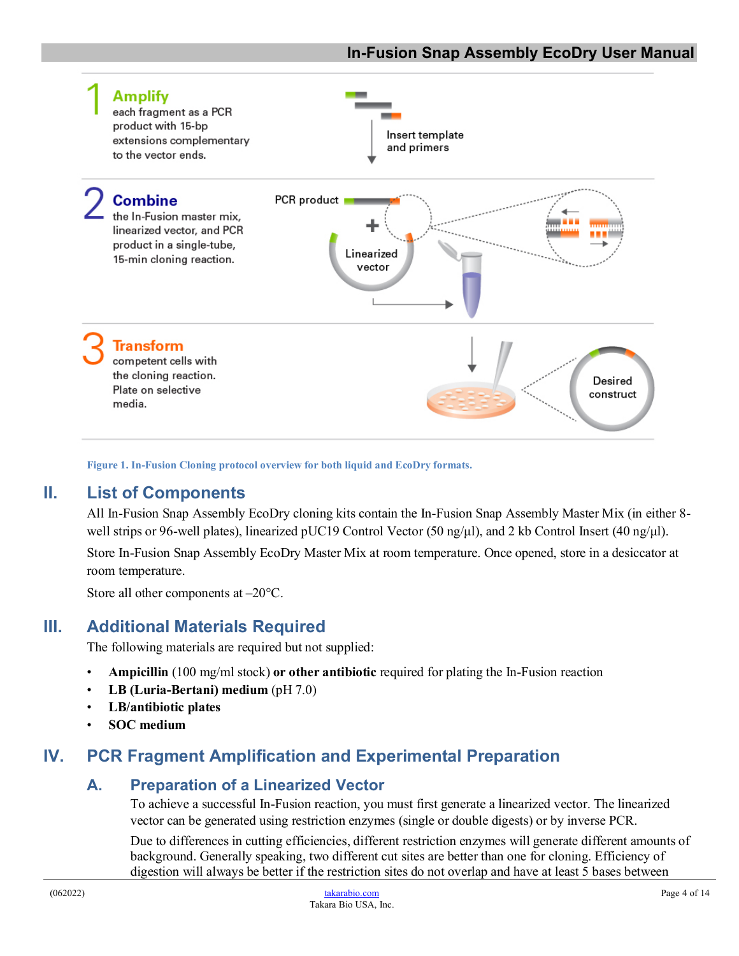

**Figure 1. In-Fusion Cloning protocol overview for both liquid and EcoDry formats.**

#### <span id="page-3-4"></span><span id="page-3-0"></span>**II. List of Components**

All In-Fusion Snap Assembly EcoDry cloning kits contain the In-Fusion Snap Assembly Master Mix (in either 8 well strips or 96-well plates), linearized pUC19 Control Vector (50 ng/μl), and 2 kb Control Insert (40 ng/μl).

Store In-Fusion Snap Assembly EcoDry Master Mix at room temperature. Once opened, store in a desiccator at room temperature.

Store all other components at –20°C.

#### <span id="page-3-1"></span>**III. Additional Materials Required**

The following materials are required but not supplied:

- **Ampicillin** (100 mg/ml stock) **or other antibiotic** required for plating the In-Fusion reaction
- **LB (Luria-Bertani) medium** (pH 7.0)
- **LB/antibiotic plates**
- **SOC medium**

## <span id="page-3-3"></span><span id="page-3-2"></span>**IV. PCR Fragment Amplification and Experimental Preparation**

#### **A. Preparation of a Linearized Vector**

To achieve a successful In-Fusion reaction, you must first generate a linearized vector. The linearized vector can be generated using restriction enzymes (single or double digests) or by inverse PCR.

Due to differences in cutting efficiencies, different restriction enzymes will generate different amounts of background. Generally speaking, two different cut sites are better than one for cloning. Efficiency of digestion will always be better if the restriction sites do not overlap and have at least 5 bases between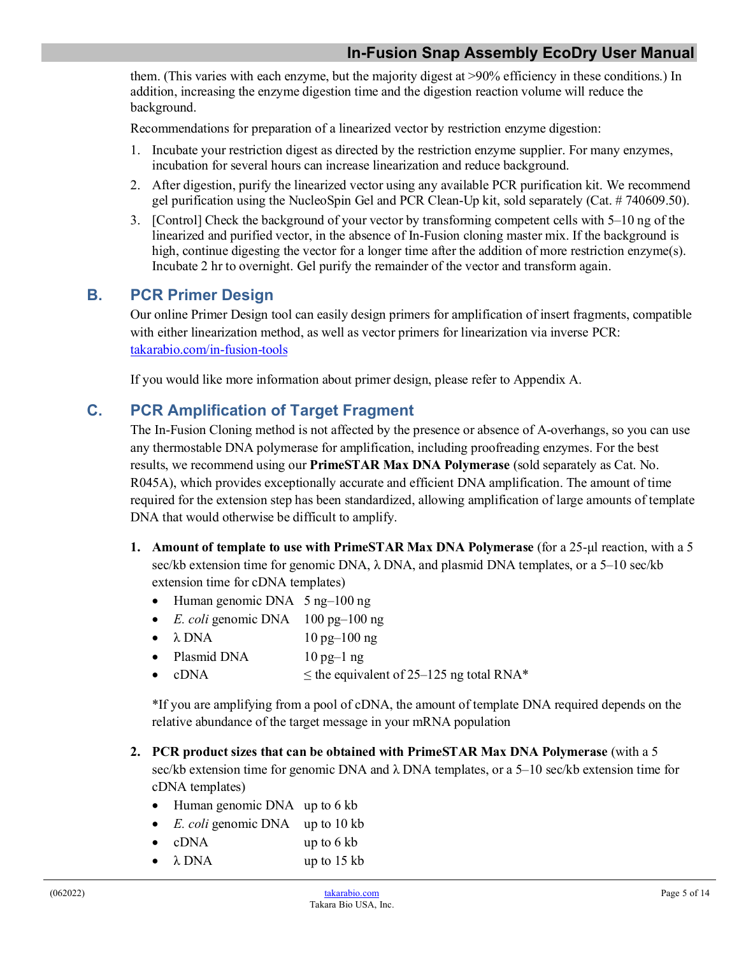them. (This varies with each enzyme, but the majority digest at >90% efficiency in these conditions.) In addition, increasing the enzyme digestion time and the digestion reaction volume will reduce the background.

Recommendations for preparation of a linearized vector by restriction enzyme digestion:

- 1. Incubate your restriction digest as directed by the restriction enzyme supplier. For many enzymes, incubation for several hours can increase linearization and reduce background.
- 2. After digestion, purify the linearized vector using any available PCR purification kit. We recommend gel purification using the NucleoSpin Gel and PCR Clean-Up kit, sold separately (Cat. # 740609.50).
- 3. [Control] Check the background of your vector by transforming competent cells with 5–10 ng of the linearized and purified vector, in the absence of In-Fusion cloning master mix. If the background is high, continue digesting the vector for a longer time after the addition of more restriction enzyme(s). Incubate 2 hr to overnight. Gel purify the remainder of the vector and transform again.

#### <span id="page-4-0"></span>**B. PCR Primer Design**

Our online Primer Design tool can easily design primers for amplification of insert fragments, compatible with either linearization method, as well as vector primers for linearization via inverse PCR: [takarabio.com/in-fusion-tools](https://www.takarabio.com/learning-centers/cloning/primer-design-and-other-tools)

If you would like more information about primer design, please refer to Appendix A.

## <span id="page-4-1"></span>**C. PCR Amplification of Target Fragment**

The In-Fusion Cloning method is not affected by the presence or absence of A-overhangs, so you can use any thermostable DNA polymerase for amplification, including proofreading enzymes. For the best results, we recommend using our **PrimeSTAR Max DNA Polymerase** (sold separately as Cat. No. R045A), which provides exceptionally accurate and efficient DNA amplification. The amount of time required for the extension step has been standardized, allowing amplification of large amounts of template DNA that would otherwise be difficult to amplify.

- **1. Amount of template to use with PrimeSTAR Max DNA Polymerase** (for a 25-μl reaction, with a 5 sec/kb extension time for genomic DNA,  $\lambda$  DNA, and plasmid DNA templates, or a 5–10 sec/kb extension time for cDNA templates)
	- Human genomic DNA 5 ng-100 ng
	- *E. coli* genomic DNA 100 pg–100 ng
	- $\lambda$  DNA  $10 \text{ pg} 100 \text{ ng}$
	- Plasmid DNA 10 pg-1 ng
	- cDNA  $\leq$  the equivalent of 25–125 ng total RNA\*

\*If you are amplifying from a pool of cDNA, the amount of template DNA required depends on the relative abundance of the target message in your mRNA population

- **2. PCR product sizes that can be obtained with PrimeSTAR Max DNA Polymerase** (with a 5 sec/kb extension time for genomic DNA and λ DNA templates, or a 5–10 sec/kb extension time for cDNA templates)
	- Human genomic DNA up to 6 kb
	- *E. coli* genomic DNA up to 10 kb
	- cDNA up to 6 kb
	- $\lambda$  DNA up to 15 kb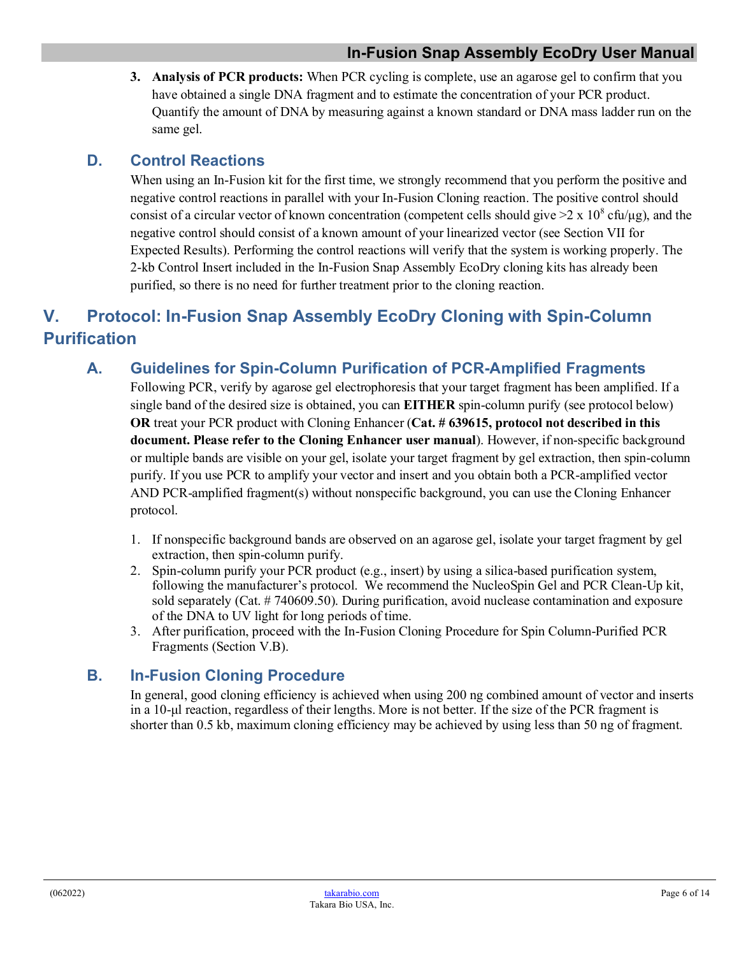**3. Analysis of PCR products:** When PCR cycling is complete, use an agarose gel to confirm that you have obtained a single DNA fragment and to estimate the concentration of your PCR product. Quantify the amount of DNA by measuring against a known standard or DNA mass ladder run on the same gel.

## <span id="page-5-0"></span>**D. Control Reactions**

When using an In-Fusion kit for the first time, we strongly recommend that you perform the positive and negative control reactions in parallel with your In-Fusion Cloning reaction. The positive control should consist of a circular vector of known concentration (competent cells should give  $\geq 2 \times 10^8$  cfu/μg), and the negative control should consist of a known amount of your linearized vector (see Section VII for Expected Results). Performing the control reactions will verify that the system is working properly. The 2-kb Control Insert included in the In-Fusion Snap Assembly EcoDry cloning kits has already been purified, so there is no need for further treatment prior to the cloning reaction.

## <span id="page-5-2"></span><span id="page-5-1"></span>**V. Protocol: In-Fusion Snap Assembly EcoDry Cloning with Spin-Column Purification**

## **A. Guidelines for Spin-Column Purification of PCR-Amplified Fragments**

Following PCR, verify by agarose gel electrophoresis that your target fragment has been amplified. If a single band of the desired size is obtained, you can **EITHER** spin-column purify (see protocol below) **OR** treat your PCR product with Cloning Enhancer (**Cat. # 639615, protocol not described in this document. Please refer to the Cloning Enhancer user manual**). However, if non-specific background or multiple bands are visible on your gel, isolate your target fragment by gel extraction, then spin-column purify. If you use PCR to amplify your vector and insert and you obtain both a PCR-amplified vector AND PCR-amplified fragment(s) without nonspecific background, you can use the Cloning Enhancer protocol.

- 1. If nonspecific background bands are observed on an agarose gel, isolate your target fragment by gel extraction, then spin-column purify.
- 2. Spin-column purify your PCR product (e.g., insert) by using a silica-based purification system, following the manufacturer's protocol. We recommend the NucleoSpin Gel and PCR Clean-Up kit, sold separately (Cat. # 740609.50). During purification, avoid nuclease contamination and exposure of the DNA to UV light for long periods of time.
- 3. After purification, proceed with the In-Fusion Cloning Procedure for Spin Column-Purified PCR Fragments (Section V.B).

## <span id="page-5-3"></span>**B. In-Fusion Cloning Procedure**

In general, good cloning efficiency is achieved when using 200 ng combined amount of vector and inserts in a 10-μl reaction, regardless of their lengths. More is not better. If the size of the PCR fragment is shorter than 0.5 kb, maximum cloning efficiency may be achieved by using less than 50 ng of fragment.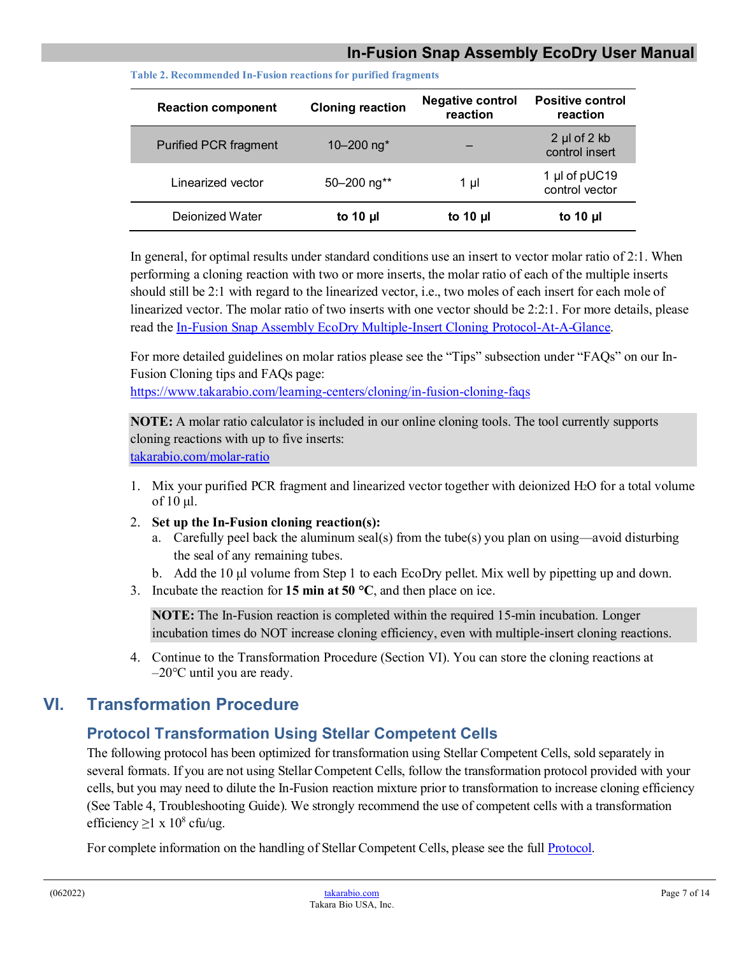<span id="page-6-2"></span>

| <b>Reaction component</b>    | <b>Cloning reaction</b>   | <b>Negative control</b><br>reaction | <b>Positive control</b><br>reaction     |
|------------------------------|---------------------------|-------------------------------------|-----------------------------------------|
| <b>Purified PCR fragment</b> | 10 $-200$ ng <sup>*</sup> |                                     | $2 \mu$ of $2 \kappa$<br>control insert |
| Linearized vector            | 50-200 ng**               | 1 µl                                | 1 µl of pUC19<br>control vector         |
| Deionized Water              | to 10 $\mu$               | to 10 $\mu$                         | to 10 $\mu$                             |

**Table 2. Recommended In-Fusion reactions for purified fragments**

In general, for optimal results under standard conditions use an insert to vector molar ratio of 2:1. When performing a cloning reaction with two or more inserts, the molar ratio of each of the multiple inserts should still be 2:1 with regard to the linearized vector, i.e., two moles of each insert for each mole of linearized vector. The molar ratio of two inserts with one vector should be 2:2:1. For more details, please read the [In-Fusion Snap Assembly EcoDry Multiple-Insert Cloning Protocol-At-A-Glance.](https://www.takarabio.com/resourcedocument/x255005)

For more detailed guidelines on molar ratios please see the "Tips" subsection under "FAQs" on our In-Fusion Cloning tips and FAQs page:

<https://www.takarabio.com/learning-centers/cloning/in-fusion-cloning-faqs>

**NOTE:** A molar ratio calculator is included in our online cloning tools. The tool currently supports cloning reactions with up to five inserts: [takarabio.com/molar-ratio](https://www.takarabio.com/learning-centers/cloning/primer-design-and-other-tools/in-fusion-molar-ratio-calculator)

- 1. Mix your purified PCR fragment and linearized vector together with deionized H2O for a total volume of 10 μl.
- 2. **Set up the In-Fusion cloning reaction(s):** 
	- a. Carefully peel back the aluminum seal(s) from the tube(s) you plan on using—avoid disturbing the seal of any remaining tubes.
	- b. Add the 10 μl volume from Step 1 to each EcoDry pellet. Mix well by pipetting up and down.
- 3. Incubate the reaction for **15 min at 50 °C**, and then place on ice.

**NOTE:** The In-Fusion reaction is completed within the required 15-min incubation. Longer incubation times do NOT increase cloning efficiency, even with multiple-insert cloning reactions.

4. Continue to the Transformation Procedure (Section VI). You can store the cloning reactions at  $-20^{\circ}$ C until you are ready.

## <span id="page-6-1"></span><span id="page-6-0"></span>**VI. Transformation Procedure**

## **Protocol Transformation Using Stellar Competent Cells**

The following protocol has been optimized for transformation using Stellar Competent Cells, sold separately in several formats. If you are not using Stellar Competent Cells, follow the transformation protocol provided with your cells, but you may need to dilute the In-Fusion reaction mixture prior to transformation to increase cloning efficiency (See Table 4, Troubleshooting Guide). We strongly recommend the use of competent cells with a transformation efficiency  $\geq$ 1 x 10<sup>8</sup> cfu/ug.

For complete information on the handling of Stellar Competent Cells, please see the full **Protocol**.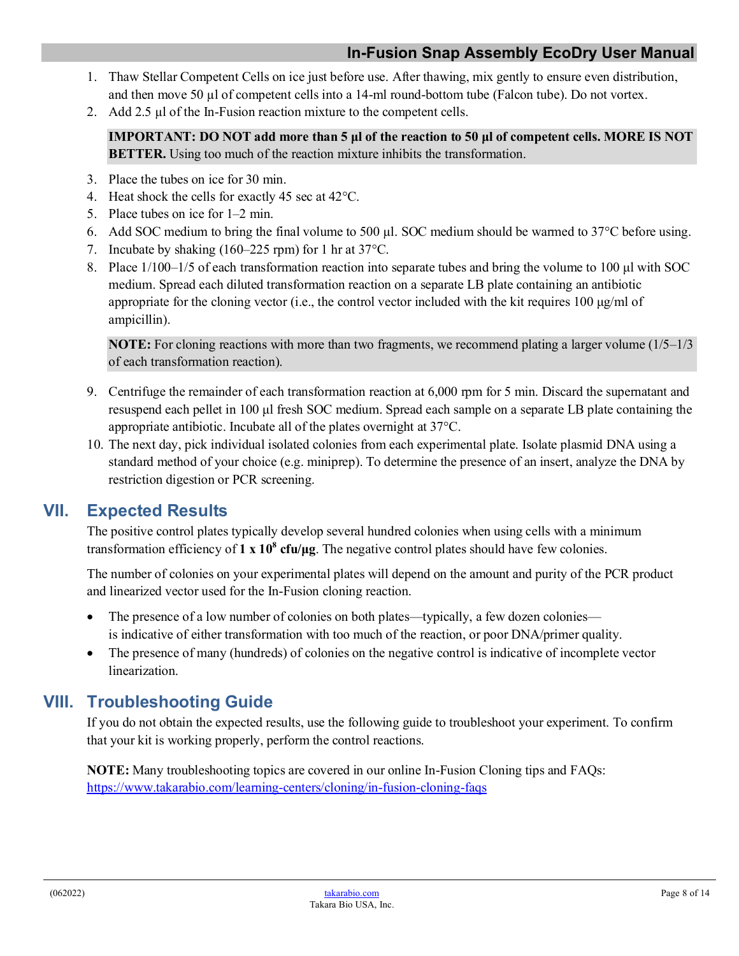- 1. Thaw Stellar Competent Cells on ice just before use. After thawing, mix gently to ensure even distribution, and then move 50 µl of competent cells into a 14-ml round-bottom tube (Falcon tube). Do not vortex.
- 2. Add 2.5 µl of the In-Fusion reaction mixture to the competent cells.

**IMPORTANT: DO NOT add more than 5 μl of the reaction to 50 μl of competent cells. MORE IS NOT BETTER.** Using too much of the reaction mixture inhibits the transformation.

- 3. Place the tubes on ice for 30 min.
- 4. Heat shock the cells for exactly 45 sec at 42°C.
- 5. Place tubes on ice for 1–2 min.
- 6. Add SOC medium to bring the final volume to 500 µl. SOC medium should be warmed to  $37^{\circ}$ C before using.
- 7. Incubate by shaking (160–225 rpm) for 1 hr at 37°C.
- 8. Place 1/100–1/5 of each transformation reaction into separate tubes and bring the volume to 100 μl with SOC medium. Spread each diluted transformation reaction on a separate LB plate containing an antibiotic appropriate for the cloning vector (i.e., the control vector included with the kit requires  $100 \mu g/ml$  of ampicillin).

**NOTE:** For cloning reactions with more than two fragments, we recommend plating a larger volume (1/5–1/3) of each transformation reaction).

- 9. Centrifuge the remainder of each transformation reaction at 6,000 rpm for 5 min. Discard the supernatant and resuspend each pellet in 100 μl fresh SOC medium. Spread each sample on a separate LB plate containing the appropriate antibiotic. Incubate all of the plates overnight at 37°C.
- 10. The next day, pick individual isolated colonies from each experimental plate. Isolate plasmid DNA using a standard method of your choice (e.g. miniprep). To determine the presence of an insert, analyze the DNA by restriction digestion or PCR screening.

## <span id="page-7-0"></span>**VII. Expected Results**

The positive control plates typically develop several hundred colonies when using cells with a minimum transformation efficiency of **1 x 108 cfu/μg**. The negative control plates should have few colonies.

The number of colonies on your experimental plates will depend on the amount and purity of the PCR product and linearized vector used for the In-Fusion cloning reaction.

- The presence of a low number of colonies on both plates—typically, a few dozen colonies is indicative of either transformation with too much of the reaction, or poor DNA/primer quality.
- The presence of many (hundreds) of colonies on the negative control is indicative of incomplete vector linearization.

## <span id="page-7-1"></span>**VIII. Troubleshooting Guide**

If you do not obtain the expected results, use the following guide to troubleshoot your experiment. To confirm that your kit is working properly, perform the control reactions.

<span id="page-7-2"></span>**NOTE:** Many troubleshooting topics are covered in our online In-Fusion Cloning tips and FAQs: <https://www.takarabio.com/learning-centers/cloning/in-fusion-cloning-faqs>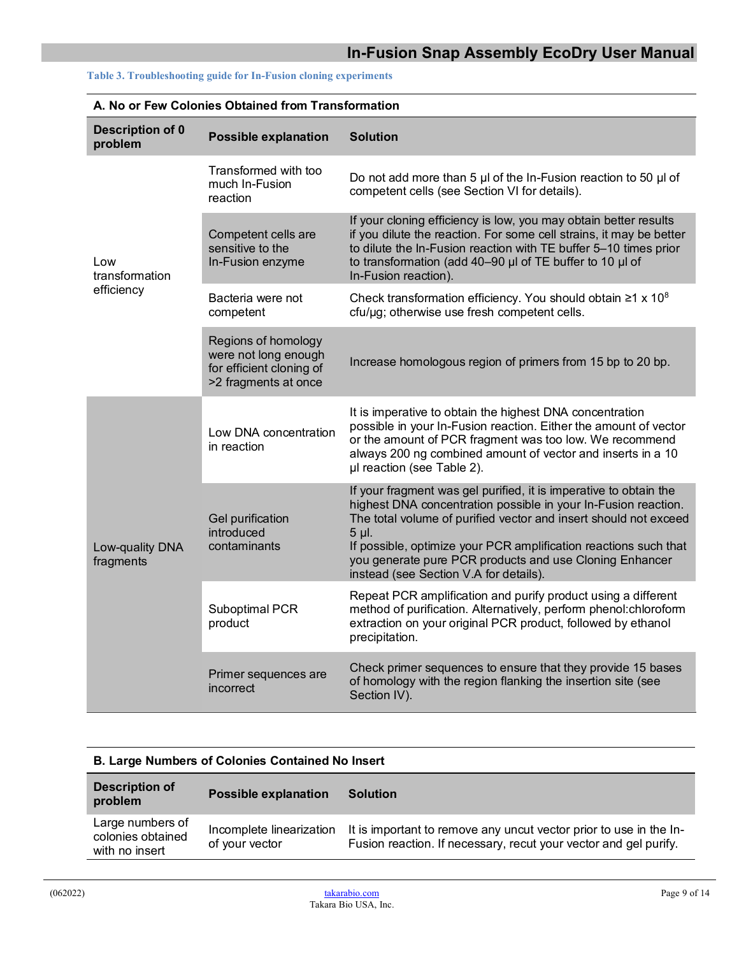| A. No or Few Colonies Obtained from Transformation |                                                                                                 |                                                                                                                                                                                                                                                                                                                                                                                           |  |
|----------------------------------------------------|-------------------------------------------------------------------------------------------------|-------------------------------------------------------------------------------------------------------------------------------------------------------------------------------------------------------------------------------------------------------------------------------------------------------------------------------------------------------------------------------------------|--|
| <b>Description of 0</b><br>problem                 | <b>Possible explanation</b>                                                                     | <b>Solution</b>                                                                                                                                                                                                                                                                                                                                                                           |  |
|                                                    | Transformed with too<br>much In-Fusion<br>reaction                                              | Do not add more than 5 $\mu$ of the In-Fusion reaction to 50 $\mu$ of<br>competent cells (see Section VI for details).                                                                                                                                                                                                                                                                    |  |
| Low<br>transformation                              | Competent cells are<br>sensitive to the<br>In-Fusion enzyme                                     | If your cloning efficiency is low, you may obtain better results<br>if you dilute the reaction. For some cell strains, it may be better<br>to dilute the In-Fusion reaction with TE buffer 5-10 times prior<br>to transformation (add 40-90 µl of TE buffer to 10 µl of<br>In-Fusion reaction).                                                                                           |  |
| efficiency                                         | Bacteria were not<br>competent                                                                  | Check transformation efficiency. You should obtain $\geq 1 \times 10^8$<br>cfu/µg; otherwise use fresh competent cells.                                                                                                                                                                                                                                                                   |  |
|                                                    | Regions of homology<br>were not long enough<br>for efficient cloning of<br>>2 fragments at once | Increase homologous region of primers from 15 bp to 20 bp.                                                                                                                                                                                                                                                                                                                                |  |
|                                                    | Low DNA concentration<br>in reaction                                                            | It is imperative to obtain the highest DNA concentration<br>possible in your In-Fusion reaction. Either the amount of vector<br>or the amount of PCR fragment was too low. We recommend<br>always 200 ng combined amount of vector and inserts in a 10<br>µl reaction (see Table 2).                                                                                                      |  |
| Low-quality DNA<br>fragments                       | Gel purification<br>introduced<br>contaminants                                                  | If your fragment was gel purified, it is imperative to obtain the<br>highest DNA concentration possible in your In-Fusion reaction.<br>The total volume of purified vector and insert should not exceed<br>5 µl.<br>If possible, optimize your PCR amplification reactions such that<br>you generate pure PCR products and use Cloning Enhancer<br>instead (see Section V.A for details). |  |
|                                                    | Suboptimal PCR<br>product                                                                       | Repeat PCR amplification and purify product using a different<br>method of purification. Alternatively, perform phenol: chloroform<br>extraction on your original PCR product, followed by ethanol<br>precipitation.                                                                                                                                                                      |  |
|                                                    | Primer sequences are<br>incorrect                                                               | Check primer sequences to ensure that they provide 15 bases<br>of homology with the region flanking the insertion site (see<br>Section IV).                                                                                                                                                                                                                                               |  |

## **Table 3. Troubleshooting guide for In-Fusion cloning experiments**

| <b>B. Large Numbers of Colonies Contained No Insert</b> |                                            |                                                                                                                                        |
|---------------------------------------------------------|--------------------------------------------|----------------------------------------------------------------------------------------------------------------------------------------|
| <b>Description of</b><br>problem                        | <b>Possible explanation</b>                | <b>Solution</b>                                                                                                                        |
| Large numbers of<br>colonies obtained<br>with no insert | Incomplete linearization<br>of your vector | It is important to remove any uncut vector prior to use in the In-<br>Fusion reaction. If necessary, recut your vector and gel purify. |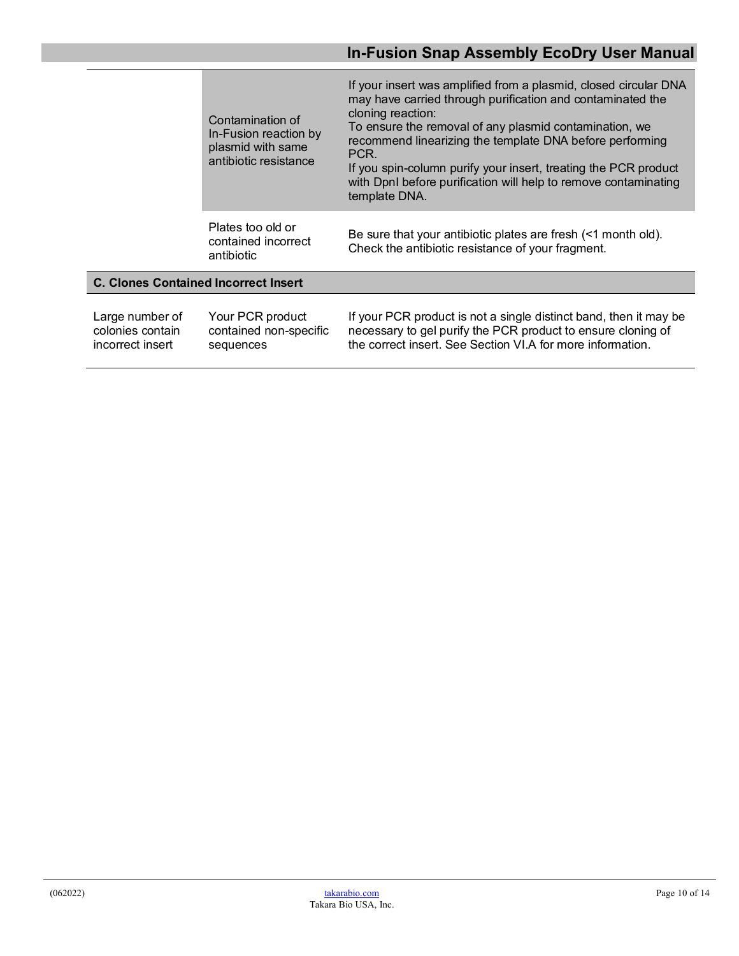|                                                         | Contamination of<br>In-Fusion reaction by<br>plasmid with same<br>antibiotic resistance | If your insert was amplified from a plasmid, closed circular DNA<br>may have carried through purification and contaminated the<br>cloning reaction:<br>To ensure the removal of any plasmid contamination, we<br>recommend linearizing the template DNA before performing<br>PCR.<br>If you spin-column purify your insert, treating the PCR product<br>with DpnI before purification will help to remove contaminating<br>template DNA. |
|---------------------------------------------------------|-----------------------------------------------------------------------------------------|------------------------------------------------------------------------------------------------------------------------------------------------------------------------------------------------------------------------------------------------------------------------------------------------------------------------------------------------------------------------------------------------------------------------------------------|
|                                                         | Plates too old or<br>contained incorrect<br>antibiotic                                  | Be sure that your antibiotic plates are fresh (<1 month old).<br>Check the antibiotic resistance of your fragment.                                                                                                                                                                                                                                                                                                                       |
| <b>C. Clones Contained Incorrect Insert</b>             |                                                                                         |                                                                                                                                                                                                                                                                                                                                                                                                                                          |
| Large number of<br>colonies contain<br>incorrect insert | Your PCR product<br>contained non-specific<br>sequences                                 | If your PCR product is not a single distinct band, then it may be<br>necessary to gel purify the PCR product to ensure cloning of<br>the correct insert. See Section VI.A for more information.                                                                                                                                                                                                                                          |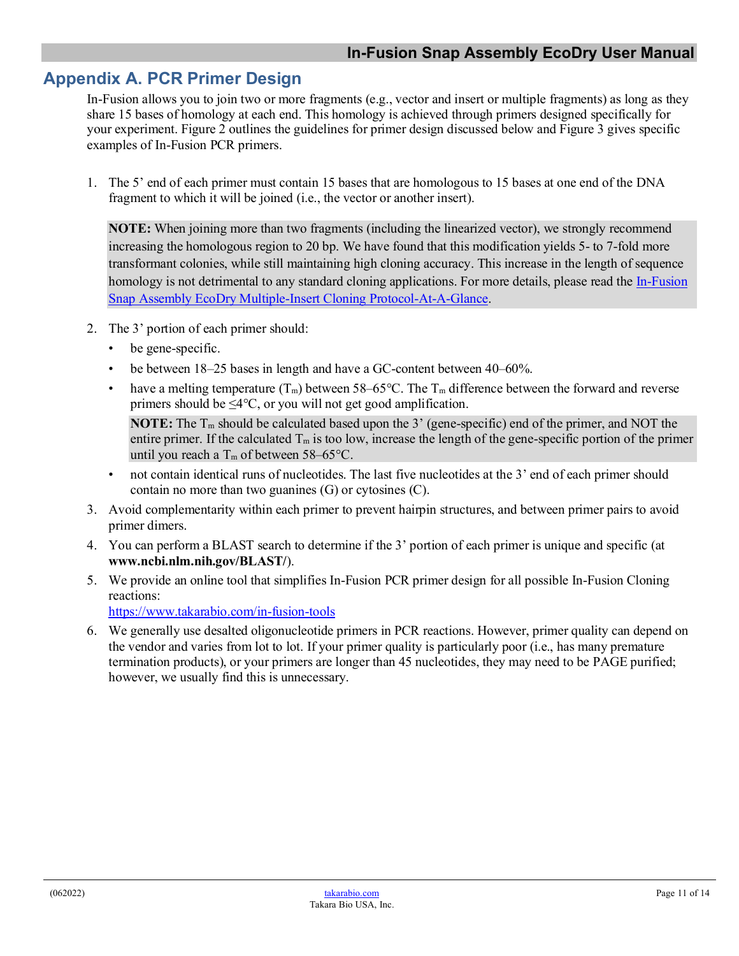## <span id="page-10-0"></span>**Appendix A. PCR Primer Design**

In-Fusion allows you to join two or more fragments (e.g., vector and insert or multiple fragments) as long as they share 15 bases of homology at each end. This homology is achieved through primers designed specifically for your experiment. Figure 2 outlines the guidelines for primer design discussed below and Figure 3 gives specific examples of In-Fusion PCR primers.

1. The 5' end of each primer must contain 15 bases that are homologous to 15 bases at one end of the DNA fragment to which it will be joined (i.e., the vector or another insert).

**NOTE:** When joining more than two fragments (including the linearized vector), we strongly recommend increasing the homologous region to 20 bp. We have found that this modification yields 5- to 7-fold more transformant colonies, while still maintaining high cloning accuracy. This increase in the length of sequence homology is not detrimental to any standard cloning applications. For more details, please read the In-Fusion [Snap Assembly EcoDry Multiple-Insert Cloning Protocol-At-A-Glance.](https://www.takarabio.com/resourcedocument/x255005)

- 2. The 3' portion of each primer should:
	- be gene-specific.
	- be between 18–25 bases in length and have a GC-content between 40–60%.
	- have a melting temperature  $(T_m)$  between 58–65 °C. The  $T_m$  difference between the forward and reverse primers should be  $\leq 4^{\circ}C$ , or you will not get good amplification.

**NOTE:** The  $T_m$  should be calculated based upon the 3' (gene-specific) end of the primer, and NOT the entire primer. If the calculated  $T_m$  is too low, increase the length of the gene-specific portion of the primer until you reach a  $T_m$  of between 58–65 $^{\circ}$ C.

- not contain identical runs of nucleotides. The last five nucleotides at the 3' end of each primer should contain no more than two guanines (G) or cytosines (C).
- 3. Avoid complementarity within each primer to prevent hairpin structures, and between primer pairs to avoid primer dimers.
- 4. You can perform a BLAST search to determine if the 3' portion of each primer is unique and specific (at **www.ncbi.nlm.nih.gov/BLAST/**).
- 5. We provide an online tool that simplifies In-Fusion PCR primer design for all possible In-Fusion Cloning reactions:

<https://www.takarabio.com/in-fusion-tools>

6. We generally use desalted oligonucleotide primers in PCR reactions. However, primer quality can depend on the vendor and varies from lot to lot. If your primer quality is particularly poor (i.e., has many premature termination products), or your primers are longer than 45 nucleotides, they may need to be PAGE purified; however, we usually find this is unnecessary.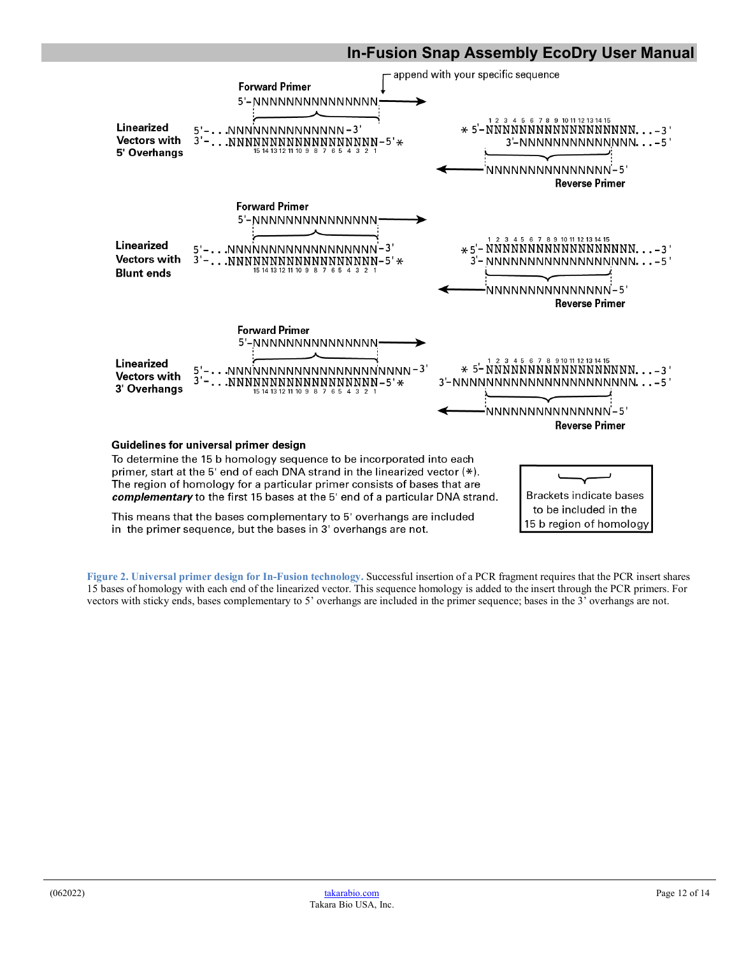

<span id="page-11-0"></span>**Figure 2. Universal primer design for In-Fusion technology.** Successful insertion of a PCR fragment requires that the PCR insert shares 15 bases of homology with each end of the linearized vector. This sequence homology is added to the insert through the PCR primers. For vectors with sticky ends, bases complementary to 5' overhangs are included in the primer sequence; bases in the 3' overhangs are not.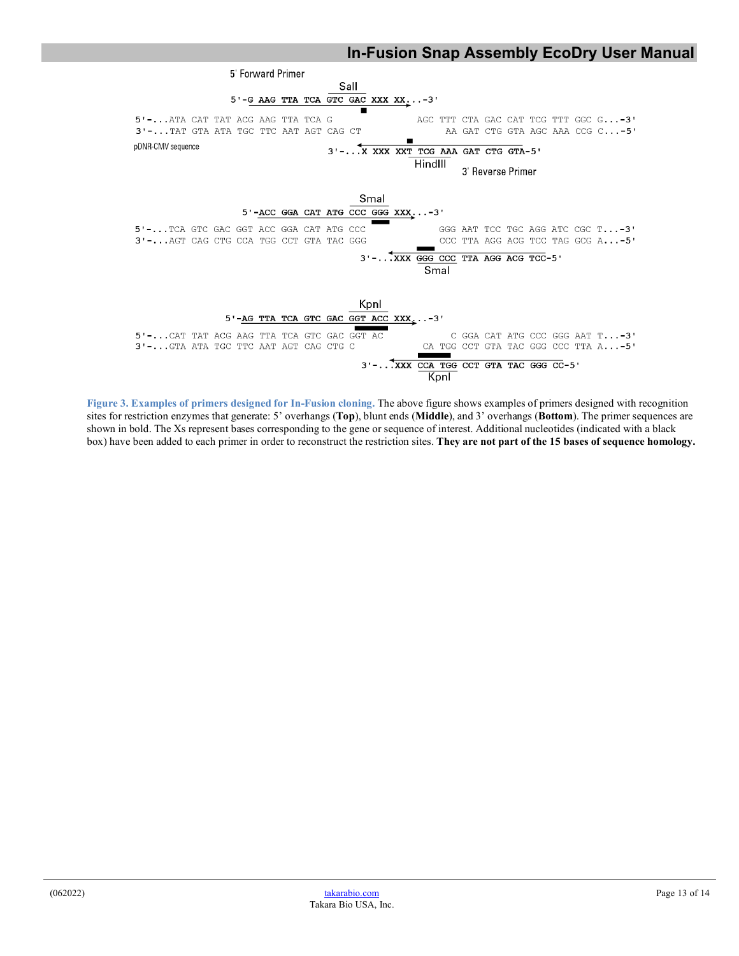

<span id="page-12-0"></span>**Figure 3. Examples of primers designed for In-Fusion cloning.** The above figure shows examples of primers designed with recognition sites for restriction enzymes that generate: 5' overhangs (**Top**), blunt ends (**Middle**), and 3' overhangs (**Bottom**). The primer sequences are shown in bold. The Xs represent bases corresponding to the gene or sequence of interest. Additional nucleotides (indicated with a black box) have been added to each primer in order to reconstruct the restriction sites. **They are not part of the 15 bases of sequence homology.**